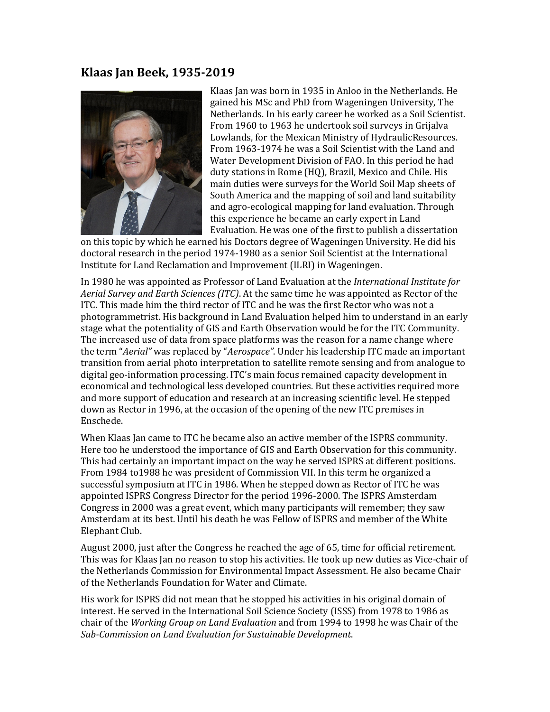## **Klaas Jan Beek, 1935-2019**



Klaas Jan was born in 1935 in Anloo in the Netherlands. He gained his MSc and PhD from Wageningen University, The Netherlands. In his early career he worked as a Soil Scientist. From 1960 to 1963 he undertook soil surveys in Grijalva Lowlands, for the Mexican Ministry of HydraulicResources. From 1963-1974 he was a Soil Scientist with the Land and Water Development Division of FAO. In this period he had duty stations in Rome (HQ), Brazil, Mexico and Chile. His main duties were surveys for the World Soil Map sheets of South America and the mapping of soil and land suitability and agro-ecological mapping for land evaluation. Through this experience he became an early expert in Land Evaluation. He was one of the first to publish a dissertation

on this topic by which he earned his Doctors degree of Wageningen University. He did his doctoral research in the period 1974-1980 as a senior Soil Scientist at the International Institute for Land Reclamation and Improvement (ILRI) in Wageningen.

In 1980 he was appointed as Professor of Land Evaluation at the *International Institute for Aerial Survey and Earth Sciences (ITC)*. At the same time he was appointed as Rector of the ITC. This made him the third rector of ITC and he was the first Rector who was not a photogrammetrist. His background in Land Evaluation helped him to understand in an early stage what the potentiality of GIS and Earth Observation would be for the ITC Community. The increased use of data from space platforms was the reason for a name change where the term "*Aerial"* was replaced by "*Aerospace"*. Under his leadership ITC made an important transition from aerial photo interpretation to satellite remote sensing and from analogue to digital geo-information processing. ITC's main focus remained capacity development in economical and technological less developed countries. But these activities required more and more support of education and research at an increasing scientific level. He stepped down as Rector in 1996, at the occasion of the opening of the new ITC premises in Enschede.

When Klaas Jan came to ITC he became also an active member of the ISPRS community. Here too he understood the importance of GIS and Earth Observation for this community. This had certainly an important impact on the way he served ISPRS at different positions. From 1984 to1988 he was president of Commission VII. In this term he organized a successful symposium at ITC in 1986. When he stepped down as Rector of ITC he was appointed ISPRS Congress Director for the period 1996-2000. The ISPRS Amsterdam Congress in 2000 was a great event, which many participants will remember; they saw Amsterdam at its best. Until his death he was Fellow of ISPRS and member of the White Elephant Club.

August 2000, just after the Congress he reached the age of 65, time for official retirement. This was for Klaas Jan no reason to stop his activities. He took up new duties as Vice-chair of the Netherlands Commission for Environmental Impact Assessment. He also became Chair of the Netherlands Foundation for Water and Climate.

His work for ISPRS did not mean that he stopped his activities in his original domain of interest. He served in the International Soil Science Society (ISSS) from 1978 to 1986 as chair of the *Working Group on Land Evaluation* and from 1994 to 1998 he was Chair of the *Sub-Commission on Land Evaluation for Sustainable Development*.